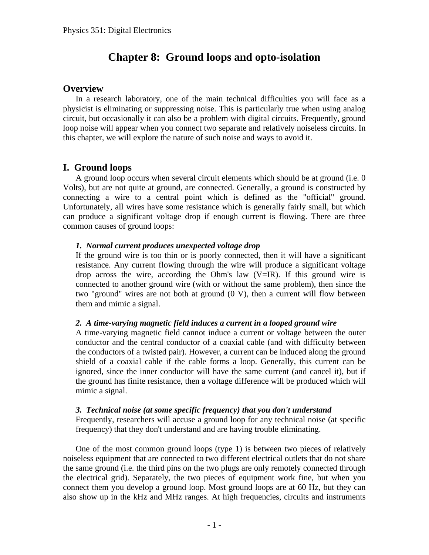# **Chapter 8: Ground loops and opto-isolation**

## **Overview**

In a research laboratory, one of the main technical difficulties you will face as a physicist is eliminating or suppressing noise. This is particularly true when using analog circuit, but occasionally it can also be a problem with digital circuits. Frequently, ground loop noise will appear when you connect two separate and relatively noiseless circuits. In this chapter, we will explore the nature of such noise and ways to avoid it.

# **I. Ground loops**

A ground loop occurs when several circuit elements which should be at ground (i.e. 0 Volts), but are not quite at ground, are connected. Generally, a ground is constructed by connecting a wire to a central point which is defined as the "official" ground. Unfortunately, all wires have some resistance which is generally fairly small, but which can produce a significant voltage drop if enough current is flowing. There are three common causes of ground loops:

## *1. Normal current produces unexpected voltage drop*

If the ground wire is too thin or is poorly connected, then it will have a significant resistance. Any current flowing through the wire will produce a significant voltage drop across the wire, according the Ohm's law  $(V=IR)$ . If this ground wire is connected to another ground wire (with or without the same problem), then since the two "ground" wires are not both at ground (0 V), then a current will flow between them and mimic a signal.

## *2. A time-varying magnetic field induces a current in a looped ground wire*

A time-varying magnetic field cannot induce a current or voltage between the outer conductor and the central conductor of a coaxial cable (and with difficulty between the conductors of a twisted pair). However, a current can be induced along the ground shield of a coaxial cable if the cable forms a loop. Generally, this current can be ignored, since the inner conductor will have the same current (and cancel it), but if the ground has finite resistance, then a voltage difference will be produced which will mimic a signal.

## *3. Technical noise (at some specific frequency) that you don't understand*

Frequently, researchers will accuse a ground loop for any technical noise (at specific frequency) that they don't understand and are having trouble eliminating.

One of the most common ground loops (type 1) is between two pieces of relatively noiseless equipment that are connected to two different electrical outlets that do not share the same ground (i.e. the third pins on the two plugs are only remotely connected through the electrical grid). Separately, the two pieces of equipment work fine, but when you connect them you develop a ground loop. Most ground loops are at 60 Hz, but they can also show up in the kHz and MHz ranges. At high frequencies, circuits and instruments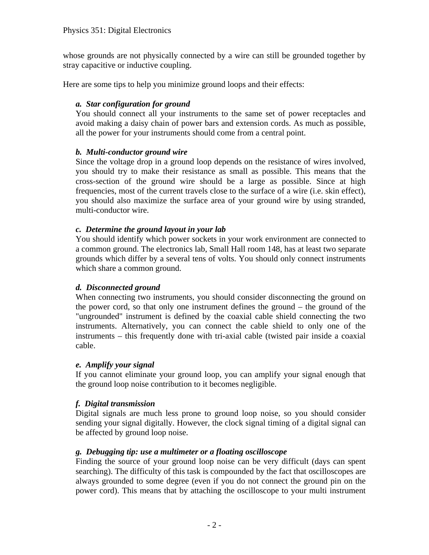whose grounds are not physically connected by a wire can still be grounded together by stray capacitive or inductive coupling.

Here are some tips to help you minimize ground loops and their effects:

## *a. Star configuration for ground*

You should connect all your instruments to the same set of power receptacles and avoid making a daisy chain of power bars and extension cords. As much as possible, all the power for your instruments should come from a central point.

## *b. Multi-conductor ground wire*

Since the voltage drop in a ground loop depends on the resistance of wires involved, you should try to make their resistance as small as possible. This means that the cross-section of the ground wire should be a large as possible. Since at high frequencies, most of the current travels close to the surface of a wire (i.e. skin effect), you should also maximize the surface area of your ground wire by using stranded, multi-conductor wire.

## *c. Determine the ground layout in your lab*

You should identify which power sockets in your work environment are connected to a common ground. The electronics lab, Small Hall room 148, has at least two separate grounds which differ by a several tens of volts. You should only connect instruments which share a common ground.

## *d. Disconnected ground*

When connecting two instruments, you should consider disconnecting the ground on the power cord, so that only one instrument defines the ground – the ground of the "ungrounded" instrument is defined by the coaxial cable shield connecting the two instruments. Alternatively, you can connect the cable shield to only one of the instruments – this frequently done with tri-axial cable (twisted pair inside a coaxial cable.

## *e. Amplify your signal*

If you cannot eliminate your ground loop, you can amplify your signal enough that the ground loop noise contribution to it becomes negligible.

## *f. Digital transmission*

Digital signals are much less prone to ground loop noise, so you should consider sending your signal digitally. However, the clock signal timing of a digital signal can be affected by ground loop noise.

## *g. Debugging tip: use a multimeter or a floating oscilloscope*

Finding the source of your ground loop noise can be very difficult (days can spent searching). The difficulty of this task is compounded by the fact that oscilloscopes are always grounded to some degree (even if you do not connect the ground pin on the power cord). This means that by attaching the oscilloscope to your multi instrument